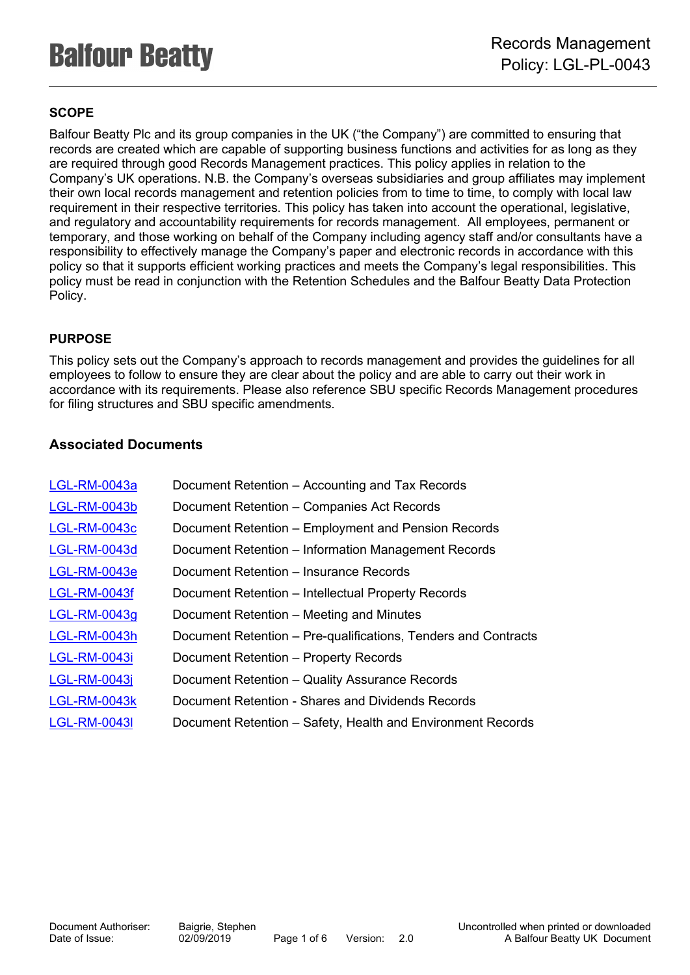# **SCOPE**

Balfour Beatty Plc and its group companies in the UK ("the Company") are committed to ensuring that records are created which are capable of supporting business functions and activities for as long as they are required through good Records Management practices. This policy applies in relation to the Company's UK operations. N.B. the Company's overseas subsidiaries and group affiliates may implement their own local records management and retention policies from to time to time, to comply with local law requirement in their respective territories. This policy has taken into account the operational, legislative, and regulatory and accountability requirements for records management. All employees, permanent or temporary, and those working on behalf of the Company including agency staff and/or consultants have a responsibility to effectively manage the Company's paper and electronic records in accordance with this policy so that it supports efficient working practices and meets the Company's legal responsibilities. This policy must be read in conjunction with the Retention Schedules and the Balfour Beatty Data Protection Policy.

## **PURPOSE**

This policy sets out the Company's approach to records management and provides the guidelines for all employees to follow to ensure they are clear about the policy and are able to carry out their work in accordance with its requirements. Please also reference SBU specific Records Management procedures for filing structures and SBU specific amendments.

## **Associated Documents**

| Document Retention – Accounting and Tax Records                |
|----------------------------------------------------------------|
| Document Retention - Companies Act Records                     |
| Document Retention – Employment and Pension Records            |
| Document Retention – Information Management Records            |
| Document Retention – Insurance Records                         |
| Document Retention - Intellectual Property Records             |
| Document Retention – Meeting and Minutes                       |
| Document Retention – Pre-qualifications, Tenders and Contracts |
| Document Retention - Property Records                          |
| Document Retention - Quality Assurance Records                 |
| Document Retention - Shares and Dividends Records              |
| Document Retention - Safety, Health and Environment Records    |
|                                                                |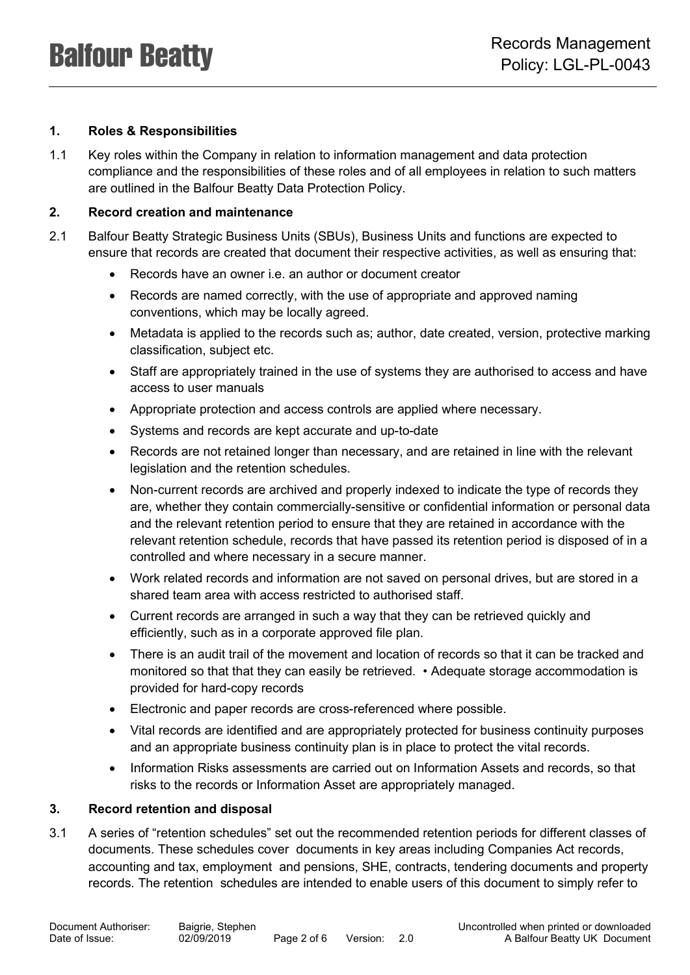## **1. Roles & Responsibilities**

1.1 Key roles within the Company in relation to information management and data protection compliance and the responsibilities of these roles and of all employees in relation to such matters are outlined in the Balfour Beatty Data Protection Policy.

#### **2. Record creation and maintenance**

- 2.1 Balfour Beatty Strategic Business Units (SBUs), Business Units and functions are expected to ensure that records are created that document their respective activities, as well as ensuring that:
	- Records have an owner i.e. an author or document creator
	- Records are named correctly, with the use of appropriate and approved naming conventions, which may be locally agreed.
	- Metadata is applied to the records such as; author, date created, version, protective marking classification, subject etc.
	- Staff are appropriately trained in the use of systems they are authorised to access and have access to user manuals
	- Appropriate protection and access controls are applied where necessary.
	- Systems and records are kept accurate and up-to-date
	- Records are not retained longer than necessary, and are retained in line with the relevant legislation and the retention schedules.
	- Non-current records are archived and properly indexed to indicate the type of records they are, whether they contain commercially-sensitive or confidential information or personal data and the relevant retention period to ensure that they are retained in accordance with the relevant retention schedule, records that have passed its retention period is disposed of in a controlled and where necessary in a secure manner.
	- Work related records and information are not saved on personal drives, but are stored in a shared team area with access restricted to authorised staff.
	- Current records are arranged in such a way that they can be retrieved quickly and efficiently, such as in a corporate approved file plan.
	- There is an audit trail of the movement and location of records so that it can be tracked and monitored so that that they can easily be retrieved. • Adequate storage accommodation is provided for hard-copy records
	- Electronic and paper records are cross-referenced where possible.
	- Vital records are identified and are appropriately protected for business continuity purposes and an appropriate business continuity plan is in place to protect the vital records.
	- Information Risks assessments are carried out on Information Assets and records, so that risks to the records or Information Asset are appropriately managed.

#### **3. Record retention and disposal**

3.1 A series of "retention schedules" set out the recommended retention periods for different classes of documents. These schedules cover documents in key areas including Companies Act records, accounting and tax, employment and pensions, SHE, contracts, tendering documents and property records. The retention schedules are intended to enable users of this document to simply refer to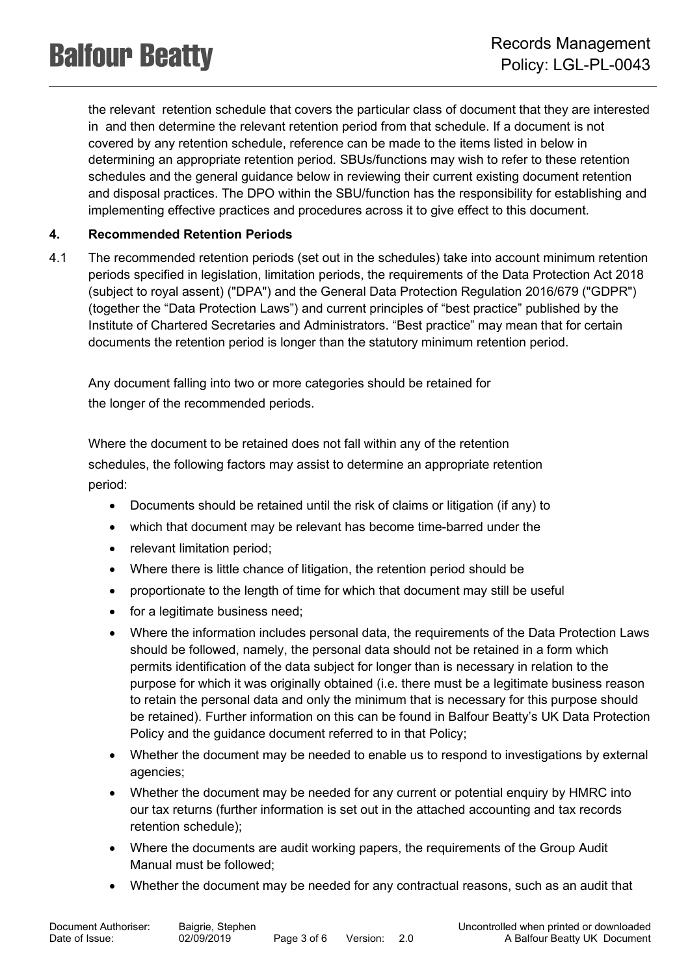the relevant retention schedule that covers the particular class of document that they are interested in and then determine the relevant retention period from that schedule. If a document is not covered by any retention schedule, reference can be made to the items listed in below in determining an appropriate retention period. SBUs/functions may wish to refer to these retention schedules and the general guidance below in reviewing their current existing document retention and disposal practices. The DPO within the SBU/function has the responsibility for establishing and implementing effective practices and procedures across it to give effect to this document.

## **4. Recommended Retention Periods**

4.1 The recommended retention periods (set out in the schedules) take into account minimum retention periods specified in legislation, limitation periods, the requirements of the Data Protection Act 2018 (subject to royal assent) ("DPA") and the General Data Protection Regulation 2016/679 ("GDPR") (together the "Data Protection Laws") and current principles of "best practice" published by the Institute of Chartered Secretaries and Administrators. "Best practice" may mean that for certain documents the retention period is longer than the statutory minimum retention period.

Any document falling into two or more categories should be retained for

the longer of the recommended periods.

Where the document to be retained does not fall within any of the retention schedules, the following factors may assist to determine an appropriate retention period:

- Documents should be retained until the risk of claims or litigation (if any) to
- which that document may be relevant has become time-barred under the
- relevant limitation period;
- Where there is little chance of litigation, the retention period should be
- proportionate to the length of time for which that document may still be useful
- for a legitimate business need;
- Where the information includes personal data, the requirements of the Data Protection Laws should be followed, namely, the personal data should not be retained in a form which permits identification of the data subject for longer than is necessary in relation to the purpose for which it was originally obtained (i.e. there must be a legitimate business reason to retain the personal data and only the minimum that is necessary for this purpose should be retained). Further information on this can be found in Balfour Beatty's UK Data Protection Policy and the guidance document referred to in that Policy;
- Whether the document may be needed to enable us to respond to investigations by external agencies;
- Whether the document may be needed for any current or potential enquiry by HMRC into our tax returns (further information is set out in the attached accounting and tax records retention schedule);
- Where the documents are audit working papers, the requirements of the Group Audit Manual must be followed;
- Whether the document may be needed for any contractual reasons, such as an audit that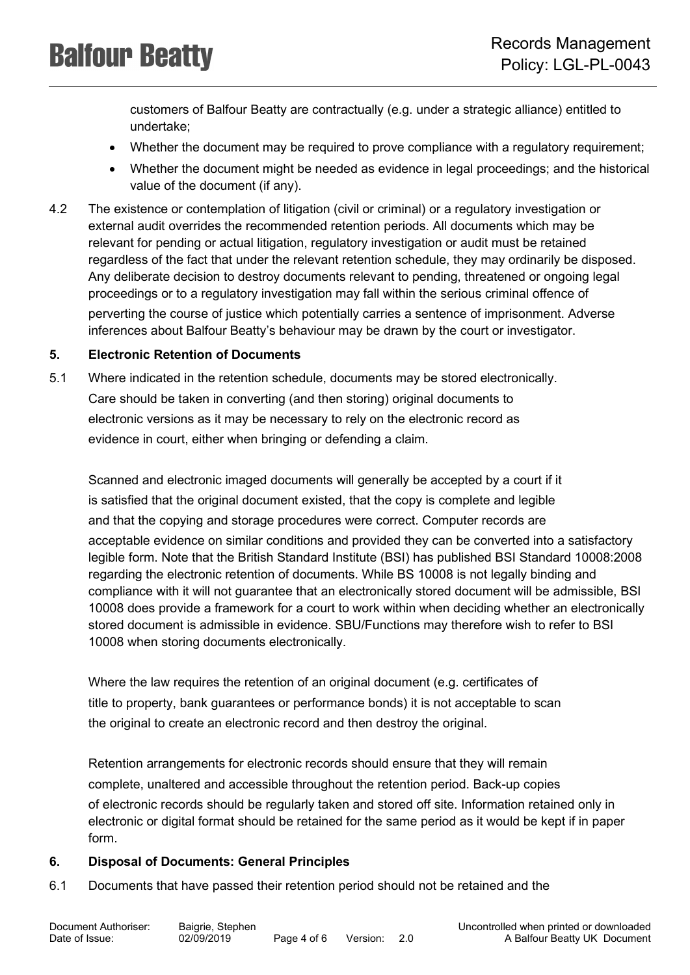customers of Balfour Beatty are contractually (e.g. under a strategic alliance) entitled to undertake;

- Whether the document may be required to prove compliance with a regulatory requirement;
- Whether the document might be needed as evidence in legal proceedings; and the historical value of the document (if any).
- 4.2 The existence or contemplation of litigation (civil or criminal) or a regulatory investigation or external audit overrides the recommended retention periods. All documents which may be relevant for pending or actual litigation, regulatory investigation or audit must be retained regardless of the fact that under the relevant retention schedule, they may ordinarily be disposed. Any deliberate decision to destroy documents relevant to pending, threatened or ongoing legal proceedings or to a regulatory investigation may fall within the serious criminal offence of perverting the course of justice which potentially carries a sentence of imprisonment. Adverse inferences about Balfour Beatty's behaviour may be drawn by the court or investigator.

## **5. Electronic Retention of Documents**

5.1 Where indicated in the retention schedule, documents may be stored electronically. Care should be taken in converting (and then storing) original documents to electronic versions as it may be necessary to rely on the electronic record as evidence in court, either when bringing or defending a claim.

Scanned and electronic imaged documents will generally be accepted by a court if it is satisfied that the original document existed, that the copy is complete and legible and that the copying and storage procedures were correct. Computer records are acceptable evidence on similar conditions and provided they can be converted into a satisfactory legible form. Note that the British Standard Institute (BSI) has published BSI Standard 10008:2008 regarding the electronic retention of documents. While BS 10008 is not legally binding and compliance with it will not guarantee that an electronically stored document will be admissible, BSI 10008 does provide a framework for a court to work within when deciding whether an electronically stored document is admissible in evidence. SBU/Functions may therefore wish to refer to BSI 10008 when storing documents electronically.

Where the law requires the retention of an original document (e.g. certificates of title to property, bank guarantees or performance bonds) it is not acceptable to scan the original to create an electronic record and then destroy the original.

Retention arrangements for electronic records should ensure that they will remain complete, unaltered and accessible throughout the retention period. Back-up copies of electronic records should be regularly taken and stored off site. Information retained only in electronic or digital format should be retained for the same period as it would be kept if in paper form.

## **6. Disposal of Documents: General Principles**

6.1 Documents that have passed their retention period should not be retained and the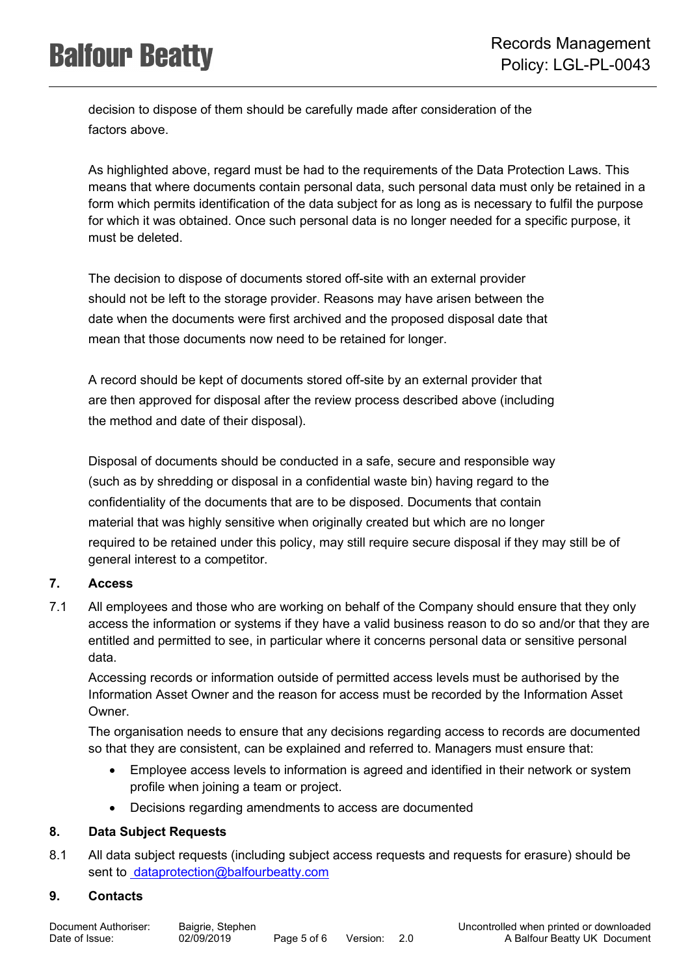decision to dispose of them should be carefully made after consideration of the factors above.

As highlighted above, regard must be had to the requirements of the Data Protection Laws. This means that where documents contain personal data, such personal data must only be retained in a form which permits identification of the data subject for as long as is necessary to fulfil the purpose for which it was obtained. Once such personal data is no longer needed for a specific purpose, it must be deleted.

The decision to dispose of documents stored off-site with an external provider should not be left to the storage provider. Reasons may have arisen between the date when the documents were first archived and the proposed disposal date that mean that those documents now need to be retained for longer.

A record should be kept of documents stored off-site by an external provider that are then approved for disposal after the review process described above (including the method and date of their disposal).

Disposal of documents should be conducted in a safe, secure and responsible way (such as by shredding or disposal in a confidential waste bin) having regard to the confidentiality of the documents that are to be disposed. Documents that contain material that was highly sensitive when originally created but which are no longer required to be retained under this policy, may still require secure disposal if they may still be of general interest to a competitor.

## **7. Access**

7.1 All employees and those who are working on behalf of the Company should ensure that they only access the information or systems if they have a valid business reason to do so and/or that they are entitled and permitted to see, in particular where it concerns personal data or sensitive personal data.

Accessing records or information outside of permitted access levels must be authorised by the Information Asset Owner and the reason for access must be recorded by the Information Asset Owner.

The organisation needs to ensure that any decisions regarding access to records are documented so that they are consistent, can be explained and referred to. Managers must ensure that:

- Employee access levels to information is agreed and identified in their network or system profile when joining a team or project.
- Decisions regarding amendments to access are documented

## **8. Data Subject Requests**

8.1 All data subject requests (including subject access requests and requests for erasure) should be sent to [dataprotection@balfourbeatty.com](mailto:%20dataprotection@balfourbeatty.com)

## **9. Contacts**